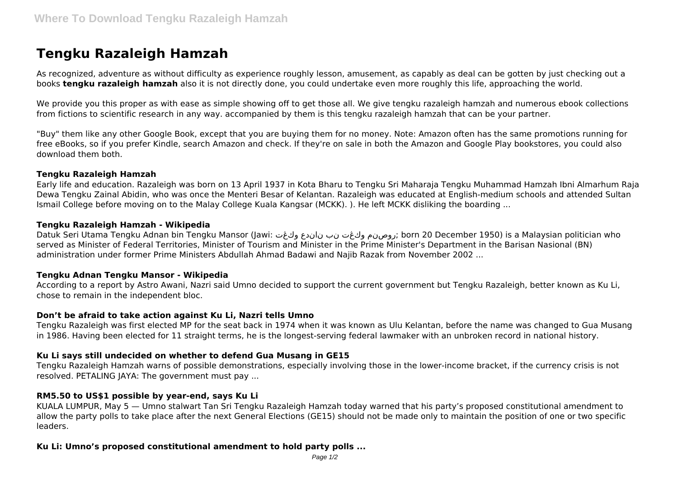# **Tengku Razaleigh Hamzah**

As recognized, adventure as without difficulty as experience roughly lesson, amusement, as capably as deal can be gotten by just checking out a books **tengku razaleigh hamzah** also it is not directly done, you could undertake even more roughly this life, approaching the world.

We provide you this proper as with ease as simple showing off to get those all. We give tengku razaleigh hamzah and numerous ebook collections from fictions to scientific research in any way. accompanied by them is this tengku razaleigh hamzah that can be your partner.

"Buy" them like any other Google Book, except that you are buying them for no money. Note: Amazon often has the same promotions running for free eBooks, so if you prefer Kindle, search Amazon and check. If they're on sale in both the Amazon and Google Play bookstores, you could also download them both.

#### **Tengku Razaleigh Hamzah**

Early life and education. Razaleigh was born on 13 April 1937 in Kota Bharu to Tengku Sri Maharaja Tengku Muhammad Hamzah Ibni Almarhum Raja Dewa Tengku Zainal Abidin, who was once the Menteri Besar of Kelantan. Razaleigh was educated at English-medium schools and attended Sultan Ismail College before moving on to the Malay College Kuala Kangsar (MCKK). ). He left MCKK disliking the boarding ...

## **Tengku Razaleigh Hamzah - Wikipedia**

Datuk Seri Utama Tengku Adnan bin Tengku Mansor (Jawi: وكڠت ناندع نب وكڠت روصنم ;born 20 December 1950) is a Malaysian politician who served as Minister of Federal Territories, Minister of Tourism and Minister in the Prime Minister's Department in the Barisan Nasional (BN) administration under former Prime Ministers Abdullah Ahmad Badawi and Najib Razak from November 2002 ...

## **Tengku Adnan Tengku Mansor - Wikipedia**

According to a report by Astro Awani, Nazri said Umno decided to support the current government but Tengku Razaleigh, better known as Ku Li, chose to remain in the independent bloc.

## **Don't be afraid to take action against Ku Li, Nazri tells Umno**

Tengku Razaleigh was first elected MP for the seat back in 1974 when it was known as Ulu Kelantan, before the name was changed to Gua Musang in 1986. Having been elected for 11 straight terms, he is the longest-serving federal lawmaker with an unbroken record in national history.

## **Ku Li says still undecided on whether to defend Gua Musang in GE15**

Tengku Razaleigh Hamzah warns of possible demonstrations, especially involving those in the lower-income bracket, if the currency crisis is not resolved. PETALING JAYA: The government must pay ...

## **RM5.50 to US\$1 possible by year-end, says Ku Li**

KUALA LUMPUR, May 5 — Umno stalwart Tan Sri Tengku Razaleigh Hamzah today warned that his party's proposed constitutional amendment to allow the party polls to take place after the next General Elections (GE15) should not be made only to maintain the position of one or two specific leaders.

## **Ku Li: Umno's proposed constitutional amendment to hold party polls ...**